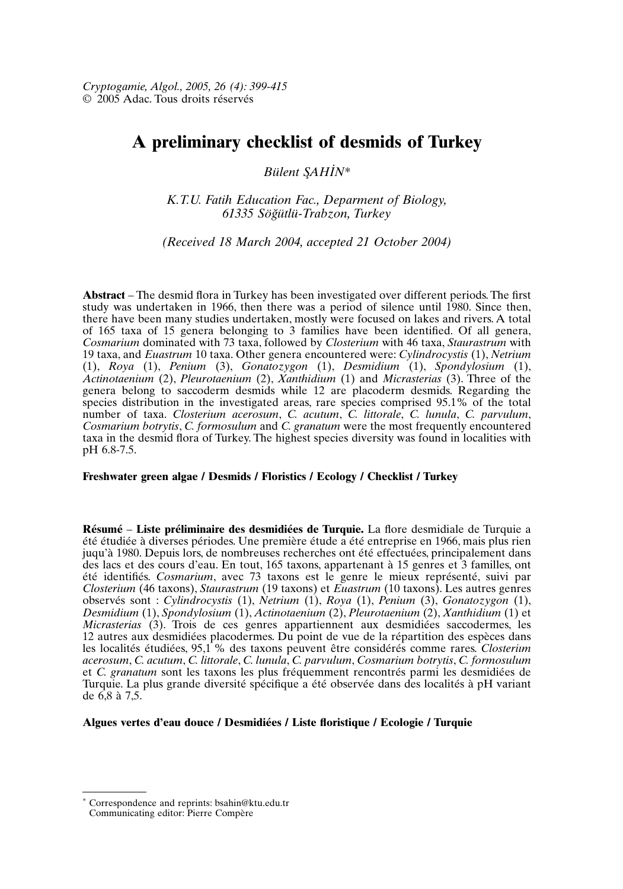# **A preliminary checklist of desmids of Turkey**

*Bülent S*¸*AHI . N\**

*K.T.U. Fatih Education Fac., Deparment of Biology, 61335 Sög*˘*ütlü-Trabzon, Turkey*

*(Received 18 March 2004, accepted 21 October 2004)*

**Abstract** – The desmid flora in Turkey has been investigated over different periods.The first study was undertaken in 1966, then there was a period of silence until 1980. Since then, there have been many studies undertaken, mostly were focused on lakes and rivers. A total of 165 taxa of 15 genera belonging to 3 families have been identified. Of all genera, *Cosmarium* dominated with 73 taxa, followed by *Closterium* with 46 taxa, *Staurastrum* with 19 taxa, and *Euastrum* 10 taxa. Other genera encountered were: *Cylindrocystis* (1), *Netrium* (1), *Roya* (1), *Penium* (3), *Gonatozygon* (1), *Desmidium* (1), *Spondylosium* (1), *Actinotaenium* (2), *Pleurotaenium* (2), *Xanthidium* (1) and *Micrasterias* (3). Three of the genera belong to saccoderm desmids while 12 are placoderm desmids. Regarding the species distribution in the investigated areas, rare species comprised 95.1% of the total number of taxa. *Closterium acerosum*, *C. acutum*, *C. littorale*, *C. lunula*, *C. parvulum*, *Cosmarium botrytis*, *C. formosulum* and *C. granatum* were the most frequently encountered taxa in the desmid flora of Turkey. The highest species diversity was found in localities with pH 6.8-7.5.

#### **Freshwater green algae / Desmids / Floristics / Ecology / Checklist / Turkey**

**Résumé** – **Liste préliminaire des desmidiées de Turquie.** La flore desmidiale de Turquie a été étudiée à diverses périodes. Une première étude a été entreprise en 1966, mais plus rien juqu'à 1980. Depuis lors, de nombreuses recherches ont été effectuées, principalement dans des lacs et des cours d'eau. En tout, 165 taxons, appartenant à 15 genres et 3 familles, ont été identifiés. *Cosmarium*, avec 73 taxons est le genre le mieux représenté, suivi par *Closterium* (46 taxons), *Staurastrum* (19 taxons) et *Euastrum* (10 taxons). Les autres genres observés sont : *Cylindrocystis* (1), *Netrium* (1), *Roya* (1), *Penium* (3), *Gonatozygon* (1), *Desmidium* (1), *Spondylosium* (1), *Actinotaenium* (2), *Pleurotaenium* (2), *Xanthidium* (1) et *Micrasterias* (3). Trois de ces genres appartiennent aux desmidiées saccodermes, les 12 autres aux desmidiées placodermes. Du point de vue de la répartition des espèces dans les localités étudiées, 95,1 % des taxons peuvent être considérés comme rares. *Closteriım acerosum*, *C. acutum*, *C. littorale*, *C. lunula*, *C. parvulum*, *Cosmarium botrytis*, *C. formosulum* et *C. granatum* sont les taxons les plus fréquemment rencontrés parmi les desmidiées de Turquie. La plus grande diversité spécifique a été observée dans des localités à pH variant de 6,8 à 7,5.

**Algues vertes d'eau douce / Desmidiées / Liste floristique / Ecologie / Turquie**

Correspondence and reprints: bsahin@ktu.edu.tr Communicating editor: Pierre Compère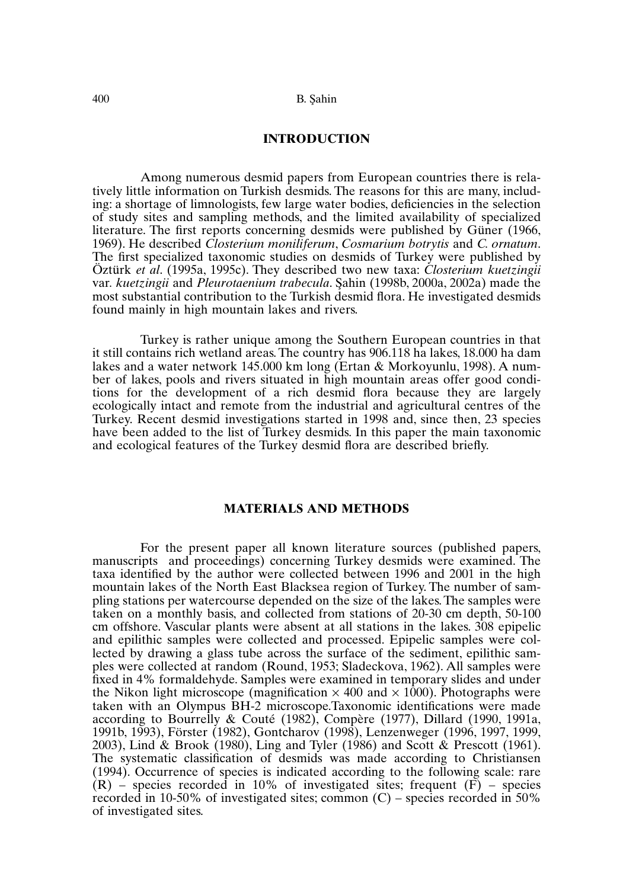## **INTRODUCTION**

Among numerous desmid papers from European countries there is relatively little information on Turkish desmids. The reasons for this are many, including: a shortage of limnologists, few large water bodies, deficiencies in the selection of study sites and sampling methods, and the limited availability of specialized literature. The first reports concerning desmids were published by Güner (1966, 1969). He described *Closterium moniliferum*, *Cosmarium botrytis* and *C. ornatum*. The first specialized taxonomic studies on desmids of Turkey were published by Öztürk *et al*. (1995a, 1995c). They described two new taxa: *Closterium kuetzingii* var. *kuetzingii* and *Pleurotaenium trabecula*. Sahin (1998b, 2000a, 2002a) made the most substantial contribution to the Turkish desmid flora. He investigated desmids found mainly in high mountain lakes and rivers.

Turkey is rather unique among the Southern European countries in that it still contains rich wetland areas.The country has 906.118 ha lakes, 18.000 ha dam lakes and a water network 145.000 km long (Ertan & Morkoyunlu, 1998). A number of lakes, pools and rivers situated in high mountain areas offer good conditions for the development of a rich desmid flora because they are largely ecologically intact and remote from the industrial and agricultural centres of the Turkey. Recent desmid investigations started in 1998 and, since then, 23 species have been added to the list of Turkey desmids. In this paper the main taxonomic and ecological features of the Turkey desmid flora are described briefly.

# **MATERIALS AND METHODS**

For the present paper all known literature sources (published papers, manuscripts and proceedings) concerning Turkey desmids were examined. The taxa identified by the author were collected between 1996 and 2001 in the high mountain lakes of the North East Blacksea region of Turkey. The number of sampling stations per watercourse depended on the size of the lakes.The samples were taken on a monthly basis, and collected from stations of 20-30 cm depth, 50-100 cm offshore. Vascular plants were absent at all stations in the lakes. 308 epipelic and epilithic samples were collected and processed. Epipelic samples were collected by drawing a glass tube across the surface of the sediment, epilithic samples were collected at random (Round, 1953; Sladeckova, 1962). All samples were fixed in 4% formaldehyde. Samples were examined in temporary slides and under the Nikon light microscope (magnification  $\times$  400 and  $\times$  1000). Photographs were taken with an Olympus BH-2 microscope.Taxonomic identifications were made according to Bourrelly & Couté (1982), Compère (1977), Dillard (1990, 1991a, 1991b, 1993), Förster (1982), Gontcharov (1998), Lenzenweger (1996, 1997, 1999, 2003), Lind & Brook (1980), Ling and Tyler (1986) and Scott & Prescott (1961). The systematic classification of desmids was made according to Christiansen (1994). Occurrence of species is indicated according to the following scale: rare  $(R)$  – species recorded in 10% of investigated sites; frequent  $(F)$  – species recorded in 10-50% of investigated sites; common (C) – species recorded in 50% of investigated sites.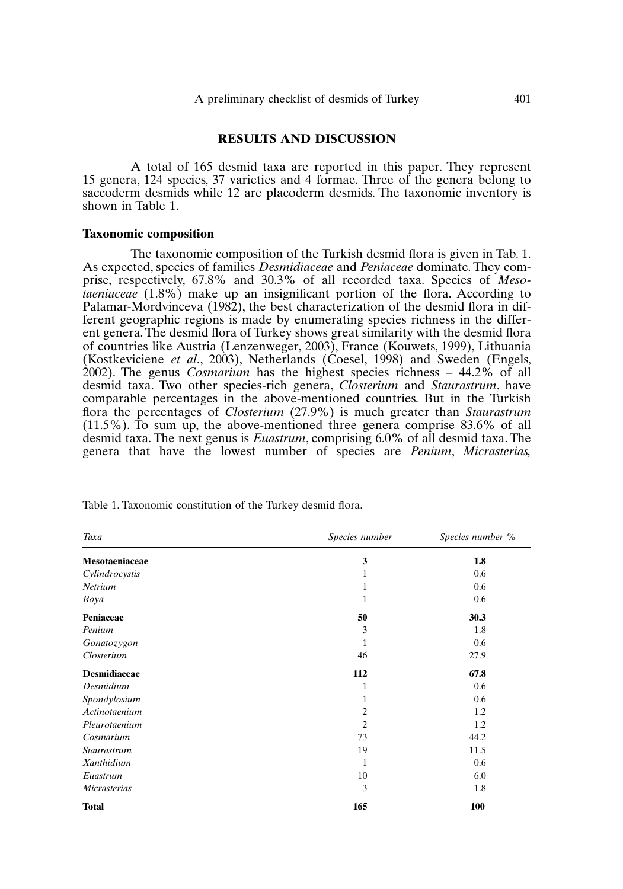## **RESULTS AND DISCUSSION**

A total of 165 desmid taxa are reported in this paper. They represent 15 genera, 124 species, 37 varieties and 4 formae. Three of the genera belong to saccoderm desmids while 12 are placoderm desmids. The taxonomic inventory is shown in Table 1.

#### **Taxonomic composition**

The taxonomic composition of the Turkish desmid flora is given in Tab. 1. As expected, species of families *Desmidiaceae* and *Peniaceae* dominate.They comprise, respectively, 67.8% and 30.3% of all recorded taxa. Species of *Mesotaeniaceae* (1.8%) make up an insignificant portion of the flora. According to Palamar-Mordvinceva (1982), the best characterization of the desmid flora in different geographic regions is made by enumerating species richness in the different genera.The desmid flora of Turkey shows great similarity with the desmid flora of countries like Austria (Lenzenweger, 2003), France (Kouwets, 1999), Lithuania (Kostkeviciene *et al*., 2003), Netherlands (Coesel, 1998) and Sweden (Engels, 2002). The genus *Cosmarium* has the highest species richness – 44.2% of all desmid taxa. Two other species-rich genera, *Closterium* and *Staurastrum*, have comparable percentages in the above-mentioned countries. But in the Turkish flora the percentages of *Closterium* (27.9%) is much greater than *Staurastrum* (11.5%). To sum up, the above-mentioned three genera comprise 83.6% of all desmid taxa. The next genus is *Euastrum*, comprising 6.0% of all desmid taxa. The genera that have the lowest number of species are *Penium*, *Micrasterias,*

| Taxa                | Species number | Species number % |
|---------------------|----------------|------------------|
| Mesotaeniaceae      | 3              | 1.8              |
| Cylindrocystis      | 1              | 0.6              |
| Netrium             | 1              | 0.6              |
| Roya                | 1              | 0.6              |
| Peniaceae           | 50             | 30.3             |
| Penium              | 3              | 1.8              |
| Gonatozygon         | 1              | 0.6              |
| Closterium          | 46             | 27.9             |
| <b>Desmidiaceae</b> | 112            | 67.8             |
| Desmidium           | 1              | 0.6              |
| Spondylosium        | 1              | 0.6              |
| Actinotaenium       | $\overline{c}$ | 1.2              |
| Pleurotaenium       | $\overline{2}$ | 1.2              |
| Cosmarium           | 73             | 44.2             |
| <b>Staurastrum</b>  | 19             | 11.5             |
| Xanthidium          | 1              | 0.6              |
| Euastrum            | 10             | 6.0              |
| Micrasterias        | 3              | 1.8              |
| <b>Total</b>        | 165            | 100              |

Table 1. Taxonomic constitution of the Turkey desmid flora.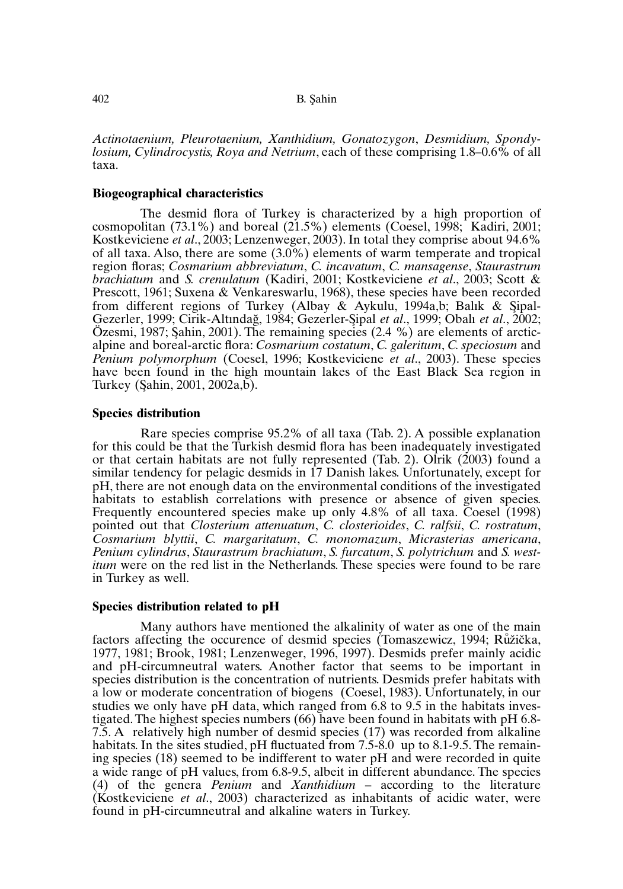*Actinotaenium, Pleurotaenium, Xanthidium, Gonatozygon*, *Desmidium, Spondylosium, Cylindrocystis, Roya and Netrium*, each of these comprising 1.8–0.6% of all taxa.

## **Biogeographical characteristics**

The desmid flora of Turkey is characterized by a high proportion of cosmopolitan (73.1%) and boreal (21.5%) elements (Coesel, 1998; Kadiri, 2001; Kostkeviciene *et al*., 2003; Lenzenweger, 2003). In total they comprise about 94.6% of all taxa. Also, there are some (3.0%) elements of warm temperate and tropical region floras; *Cosmarium abbreviatum*, *C. incavatum*, *C. mansagense*, *Staurastrum brachiatum* and *S. crenulatum* (Kadiri, 2001; Kostkeviciene *et al*., 2003; Scott & Prescott, 1961; Suxena & Venkareswarlu, 1968), these species have been recorded from different regions of Turkey (Albay & Aykulu, 1994a,b; Balık & Şipal-Gezerler, 1999; Cirik-Altındağ, 1984; Gezerler-Sipal *et al.*, 1999; Obalı *et al.*, 2002; Özesmi, 1987; Sahin, 2001). The remaining species  $(2.4 \%)$  are elements of arcticalpine and boreal-arctic flora: *Cosmarium costatum*, *C. galeritum*, *C. speciosum* and *Penium polymorphum* (Coesel, 1996; Kostkeviciene *et al*., 2003). These species have been found in the high mountain lakes of the East Black Sea region in Turkey (Şahin, 2001, 2002a,b).

## **Species distribution**

Rare species comprise 95.2% of all taxa (Tab. 2). A possible explanation for this could be that the Turkish desmid flora has been inadequately investigated or that certain habitats are not fully represented (Tab. 2). Olrik (2003) found a similar tendency for pelagic desmids in 17 Danish lakes. Unfortunately, except for pH, there are not enough data on the environmental conditions of the investigated habitats to establish correlations with presence or absence of given species. Frequently encountered species make up only 4.8% of all taxa. Coesel (1998) pointed out that *Closterium attenuatum*, *C. closterioides*, *C. ralfsii*, *C. rostratum*, *Cosmarium blyttii*, *C. margaritatum*, *C. monomazum*, *Micrasterias americana*, *Penium cylindrus*, *Staurastrum brachiatum*, *S. furcatum*, *S. polytrichum* and *S. westitum* were on the red list in the Netherlands. These species were found to be rare in Turkey as well.

### **Species distribution related to pH**

Many authors have mentioned the alkalinity of water as one of the main factors affecting the occurence of desmid species (Tomaszewicz, 1994; Růžička, 1977, 1981; Brook, 1981; Lenzenweger, 1996, 1997). Desmids prefer mainly acidic and pH-circumneutral waters. Another factor that seems to be important in species distribution is the concentration of nutrients. Desmids prefer habitats with a low or moderate concentration of biogens (Coesel, 1983). Unfortunately, in our studies we only have pH data, which ranged from 6.8 to 9.5 in the habitats investigated.The highest species numbers (66) have been found in habitats with pH 6.8- 7.5. A relatively high number of desmid species (17) was recorded from alkaline habitats. In the sites studied, pH fluctuated from 7.5-8.0 up to 8.1-9.5. The remaining species (18) seemed to be indifferent to water pH and were recorded in quite a wide range of pH values, from 6.8-9.5, albeit in different abundance. The species (4) of the genera *Penium* and *Xanthidium* – according to the literature (Kostkeviciene *et al*., 2003) characterized as inhabitants of acidic water, were found in pH-circumneutral and alkaline waters in Turkey.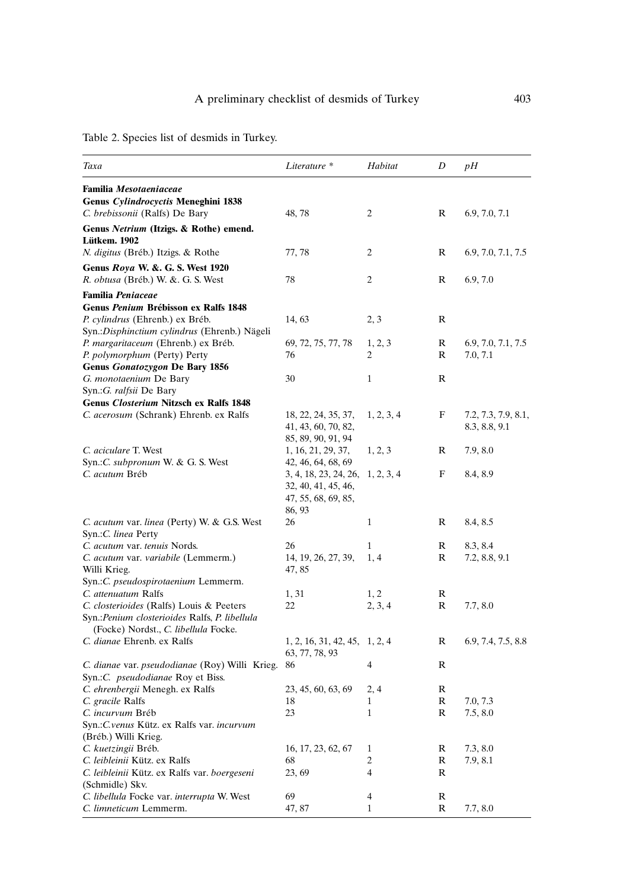Table 2. Species list of desmids in Turkey.

| Taxa                                                                | Literature *                                    | Habitat        | D | pН                  |
|---------------------------------------------------------------------|-------------------------------------------------|----------------|---|---------------------|
| <b>Familia Mesotaeniaceae</b>                                       |                                                 |                |   |                     |
| Genus Cylindrocyctis Meneghini 1838                                 |                                                 |                |   |                     |
| C. brebissonii (Ralfs) De Bary                                      | 48, 78                                          | 2              | R | 6.9, 7.0, 7.1       |
| Genus Netrium (Itzigs. & Rothe) emend.                              |                                                 |                |   |                     |
| Lütkem. 1902                                                        |                                                 |                |   |                     |
| N. digitus (Bréb.) Itzigs. & Rothe                                  | 77, 78                                          | 2              | R | 6.9, 7.0, 7.1, 7.5  |
| Genus Roya W. &. G. S. West 1920                                    |                                                 |                |   |                     |
| R. obtusa (Bréb.) W. &. G. S. West                                  | 78                                              | 2              | R | 6.9, 7.0            |
| <b>Familia Peniaceae</b>                                            |                                                 |                |   |                     |
| Genus Penium Brébisson ex Ralfs 1848                                |                                                 |                |   |                     |
| P. cylindrus (Ehrenb.) ex Bréb.                                     | 14, 63                                          | 2, 3           | R |                     |
| Syn.: Disphinctium cylindrus (Ehrenb.) Nägeli                       |                                                 |                |   |                     |
| P. margaritaceum (Ehrenb.) ex Bréb.                                 | 69, 72, 75, 77, 78                              | 1, 2, 3        | R | 6.9, 7.0, 7.1, 7.5  |
| P. polymorphum (Perty) Perty                                        | 76                                              | 2              | R | 7.0, 7.1            |
| Genus Gonatozygon De Bary 1856                                      |                                                 |                |   |                     |
| G. monotaenium De Bary                                              | 30                                              | $\mathbf{1}$   | R |                     |
| Syn.: G. ralfsii De Bary                                            |                                                 |                |   |                     |
| <b>Genus Closterium Nitzsch ex Ralfs 1848</b>                       |                                                 |                |   |                     |
| C. acerosum (Schrank) Ehrenb. ex Ralfs                              | 18, 22, 24, 35, 37,                             | 1, 2, 3, 4     | F | 7.2, 7.3, 7.9, 8.1, |
|                                                                     | 41, 43, 60, 70, 82,                             |                |   | 8.3, 8.8, 9.1       |
|                                                                     | 85, 89, 90, 91, 94                              |                |   |                     |
| C. aciculare T. West                                                | 1, 16, 21, 29, 37,                              | 1, 2, 3        | R | 7.9, 8.0            |
| Syn.: C. subpronum W. & G. S. West                                  | 42, 46, 64, 68, 69                              |                |   |                     |
| C. acutum Bréb                                                      | 3, 4, 18, 23, 24, 26,                           | 1, 2, 3, 4     | F | 8.4, 8.9            |
|                                                                     | 32, 40, 41, 45, 46,                             |                |   |                     |
|                                                                     | 47, 55, 68, 69, 85,                             |                |   |                     |
|                                                                     | 86, 93                                          |                |   |                     |
| C. acutum var. linea (Perty) W. & G.S. West<br>Syn.: C. linea Perty | 26                                              | 1              | R | 8.4, 8.5            |
| C. acutum var. tenuis Nords.                                        | 26                                              | 1              | R | 8.3, 8.4            |
| C. acutum var. variabile (Lemmerm.)                                 | 14, 19, 26, 27, 39,                             | 1, 4           | R | 7.2, 8.8, 9.1       |
| Willi Krieg.                                                        | 47, 85                                          |                |   |                     |
| Syn.:C. pseudospirotaenium Lemmerm.                                 |                                                 |                |   |                     |
| C. attenuatum Ralfs                                                 | 1, 31                                           | 1, 2           | R |                     |
| C. closterioides (Ralfs) Louis & Peeters                            | 22                                              | 2, 3, 4        | R | 7.7, 8.0            |
| Syn.: Penium closterioides Ralfs, P. libellula                      |                                                 |                |   |                     |
| (Focke) Nordst., C. libellula Focke.                                |                                                 |                |   |                     |
| C. dianae Ehrenb. ex Ralfs                                          | 1, 2, 16, 31, 42, 45, 1, 2, 4<br>63, 77, 78, 93 |                | R | 6.9, 7.4, 7.5, 8.8  |
| C. dianae var. pseudodianae (Roy) Willi Krieg.                      | 86                                              | 4              | R |                     |
| Syn.: C. <i>pseudodianae</i> Roy et Biss.                           |                                                 |                |   |                     |
| C. ehrenbergii Menegh. ex Ralfs                                     | 23, 45, 60, 63, 69                              | 2, 4           | R |                     |
| C. gracile Ralfs                                                    | 18                                              | 1              | R | 7.0, 7.3            |
| C. incurvum Bréb                                                    | 23                                              | 1              | R | 7.5, 8.0            |
| Syn.: C.venus Kütz. ex Ralfs var. incurvum                          |                                                 |                |   |                     |
| (Bréb.) Willi Krieg.                                                |                                                 |                |   |                     |
| C. kuetzingii Bréb.                                                 | 16, 17, 23, 62, 67                              | 1              | R | 7.3, 8.0            |
| C. leibleinii Kütz. ex Ralfs                                        | 68                                              | $\mathfrak{2}$ | R | 7.9, 8.1            |
| C. leibleinii Kütz. ex Ralfs var. boergeseni                        | 23, 69                                          | 4              | R |                     |
| (Schmidle) Skv.                                                     |                                                 |                |   |                     |
| C. libellula Focke var. interrupta W. West                          | 69                                              | 4              | R |                     |
| C. limneticum Lemmerm.                                              | 47, 87                                          | 1              | R | 7.7, 8.0            |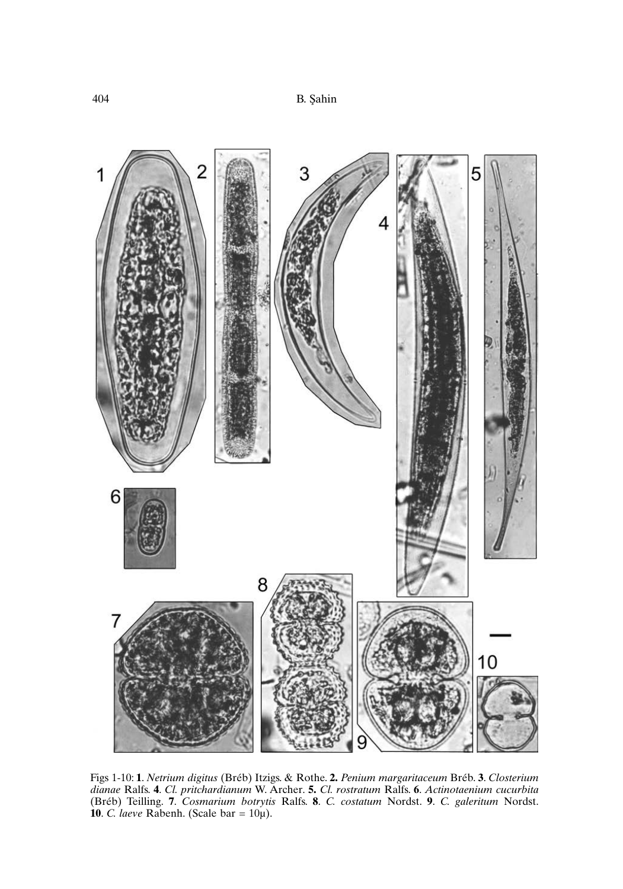

Figs 1-10: **1**. *Netrium digitus* (Bréb) Itzigs. & Rothe. **2.** *Penium margaritaceum* Bréb. **3**. *Closterium dianae* Ralfs. **4**. *Cl. pritchardianum* W. Archer. **5.** *Cl. rostratum* Ralfs. **6**. *Actinotaenium cucurbita* (Bréb) Teilling. **7**. *Cosmarium botrytis* Ralfs. **8**. *C. costatum* Nordst. **9**. *C. galeritum* Nordst. **10**. *C. laeve* Rabenh. (Scale bar = 10µ).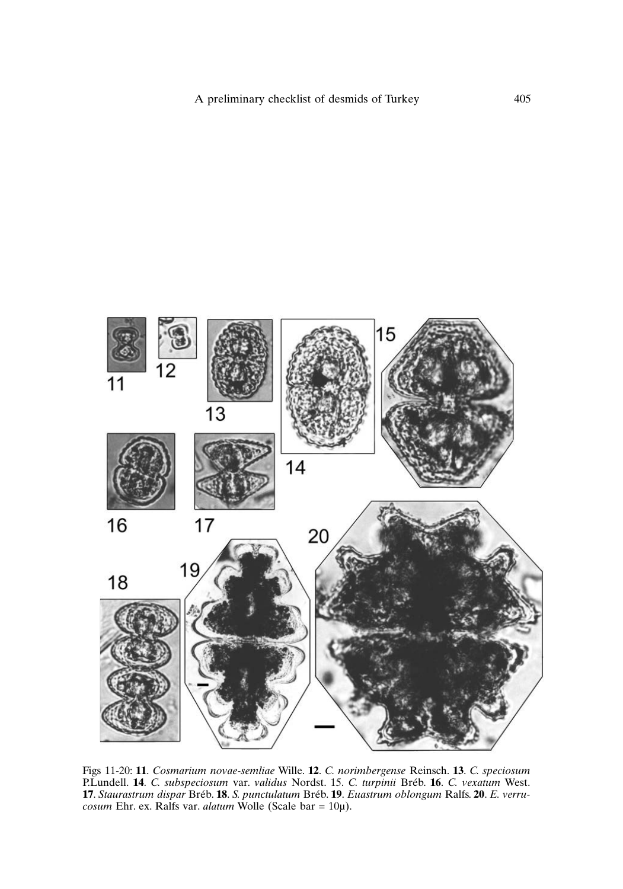

Figs 11-20: **11**. *Cosmarium novae-semliae* Wille. **12**. *C. norimbergense* Reinsch. **13**. *C. speciosum* P.Lundell. **14**. *C. subspeciosum* var. *validus* Nordst. 15. *C. turpinii* Bréb. **16**. *C. vexatum* West. **17**. *Staurastrum dispar* Bréb. **18**. *S. punctulatum* Bréb. **19**. *Euastrum oblongum* Ralfs. **20**. *E. verrucosum* Ehr. ex. Ralfs var. *alatum* Wolle (Scale bar = 10µ).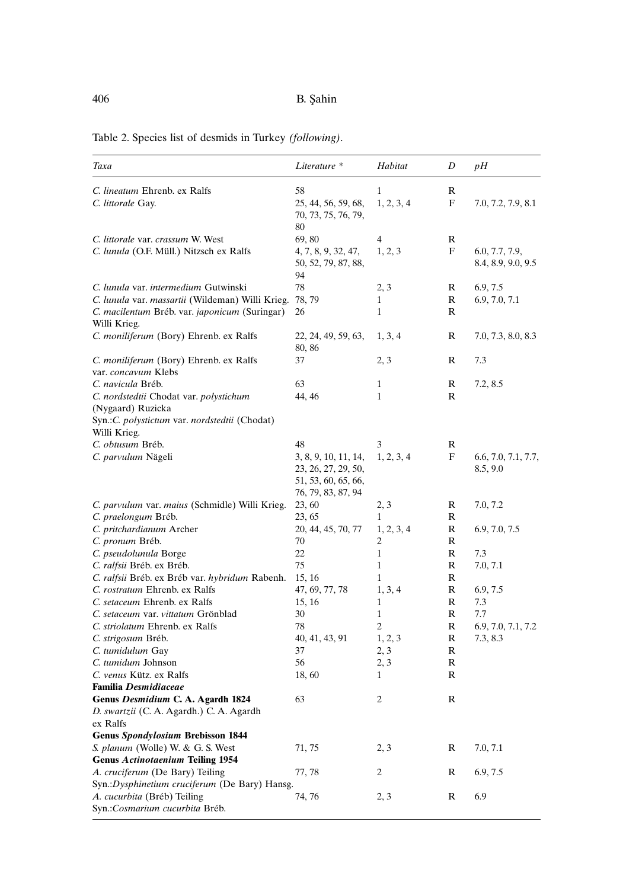| Taxa                                                                                                              | Literature *                                                                             | Habitat           | D      | pН                                   |
|-------------------------------------------------------------------------------------------------------------------|------------------------------------------------------------------------------------------|-------------------|--------|--------------------------------------|
| C. lineatum Ehrenb. ex Ralfs                                                                                      | 58                                                                                       | $\mathbf{1}$      | R      |                                      |
| C. littorale Gay.                                                                                                 | 25, 44, 56, 59, 68,<br>70, 73, 75, 76, 79,                                               | 1, 2, 3, 4        | F      | 7.0, 7.2, 7.9, 8.1                   |
| C. littorale var. crassum W. West                                                                                 | 80<br>69,80                                                                              | 4                 | R      |                                      |
| C. lunula (O.F. Müll.) Nitzsch ex Ralfs                                                                           | 4, 7, 8, 9, 32, 47,<br>50, 52, 79, 87, 88,<br>94                                         | 1, 2, 3           | F      | 6.0, 7.7, 7.9,<br>8.4, 8.9, 9.0, 9.5 |
| C. lunula var. intermedium Gutwinski                                                                              | 78                                                                                       | 2, 3              | R      | 6.9, 7.5                             |
| C. lunula var. massartii (Wildeman) Willi Krieg.<br>C. macilentum Bréb. var. japonicum (Suringar)<br>Willi Krieg. | 78, 79<br>26                                                                             | 1<br>$\mathbf{1}$ | R<br>R | 6.9, 7.0, 7.1                        |
| C. moniliferum (Bory) Ehrenb. ex Ralfs                                                                            | 22, 24, 49, 59, 63,<br>80, 86                                                            | 1, 3, 4           | R      | 7.0, 7.3, 8.0, 8.3                   |
| C. moniliferum (Bory) Ehrenb. ex Ralfs<br>var. concavum Klebs                                                     | 37                                                                                       | 2, 3              | R      | 7.3                                  |
| C. navicula Bréb.                                                                                                 | 63                                                                                       | 1                 | R      | 7.2, 8.5                             |
| C. nordstedtii Chodat var. polystichum<br>(Nygaard) Ruzicka                                                       | 44, 46                                                                                   | $\mathbf{1}$      | R      |                                      |
| Syn.: C. polystictum var. nordstedtii (Chodat)<br>Willi Krieg.                                                    |                                                                                          |                   |        |                                      |
| C. obtusum Bréb.                                                                                                  | 48                                                                                       | 3                 | R      |                                      |
| C. parvulum Nägeli                                                                                                | 3, 8, 9, 10, 11, 14,<br>23, 26, 27, 29, 50,<br>51, 53, 60, 65, 66,<br>76, 79, 83, 87, 94 | 1, 2, 3, 4        | F      | 6.6, 7.0, 7.1, 7.7,<br>8.5, 9.0      |
| C. parvulum var. maius (Schmidle) Willi Krieg.                                                                    | 23, 60                                                                                   | 2, 3              | R      | 7.0, 7.2                             |
| C. praelongum Bréb.                                                                                               | 23, 65                                                                                   | 1                 | R      |                                      |
| C. pritchardianum Archer                                                                                          | 20, 44, 45, 70, 77                                                                       | 1, 2, 3, 4        | R      | 6.9, 7.0, 7.5                        |
| C. pronum Bréb.                                                                                                   | 70                                                                                       | 2                 | R      |                                      |
| C. pseudolunula Borge                                                                                             | 22                                                                                       | $\mathbf{1}$      | R      | 7.3                                  |
| C. ralfsii Bréb. ex Bréb.                                                                                         | 75                                                                                       | $\mathbf{1}$      | R      | 7.0, 7.1                             |
| C. ralfsii Bréb. ex Bréb var. hybridum Rabenh.                                                                    | 15, 16                                                                                   | $\mathbf{1}$      | R      |                                      |
| C. rostratum Ehrenb. ex Ralfs                                                                                     | 47, 69, 77, 78                                                                           | 1, 3, 4           | R      | 6.9, 7.5                             |
| C. setaceum Ehrenb. ex Ralfs<br>C. setaceum var. vittatum Grönblad                                                | 15, 16<br>30                                                                             | 1<br>$\mathbf{1}$ | R<br>R | 7.3<br>7.7                           |
| C. striolatum Ehrenb. ex Ralfs                                                                                    | 78                                                                                       | 2                 | R      | 6.9, 7.0, 7.1, 7.2                   |
| C. strigosum Bréb.                                                                                                | 40, 41, 43, 91                                                                           | 1, 2, 3           | R      | 7.3, 8.3                             |
| C. tumidulum Gay                                                                                                  | 37                                                                                       | 2, 3              | R      |                                      |
| C. tumidum Johnson                                                                                                | 56                                                                                       | 2, 3              | R      |                                      |
| C. venus Kütz. ex Ralfs                                                                                           | 18, 60                                                                                   | 1                 | R      |                                      |
| Familia Desmidiaceae                                                                                              |                                                                                          |                   |        |                                      |
| Genus Desmidium C. A. Agardh 1824<br>D. swartzii (C. A. Agardh.) C. A. Agardh<br>ex Ralfs                         | 63                                                                                       | 2                 | R      |                                      |
| <b>Genus Spondylosium Brebisson 1844</b>                                                                          |                                                                                          |                   |        |                                      |
| S. planum (Wolle) W. & G. S. West                                                                                 | 71, 75                                                                                   | 2, 3              | R      | 7.0, 7.1                             |
| <b>Genus Actinotaenium Teiling 1954</b>                                                                           |                                                                                          |                   |        |                                      |
| A. cruciferum (De Bary) Teiling<br>Syn.: Dysphinetium cruciferum (De Bary) Hansg.                                 | 77, 78                                                                                   | 2                 | R      | 6.9, 7.5                             |
| A. cucurbita (Bréb) Teiling<br>Syn.:Cosmarium cucurbita Bréb.                                                     | 74, 76                                                                                   | 2, 3              | R      | 6.9                                  |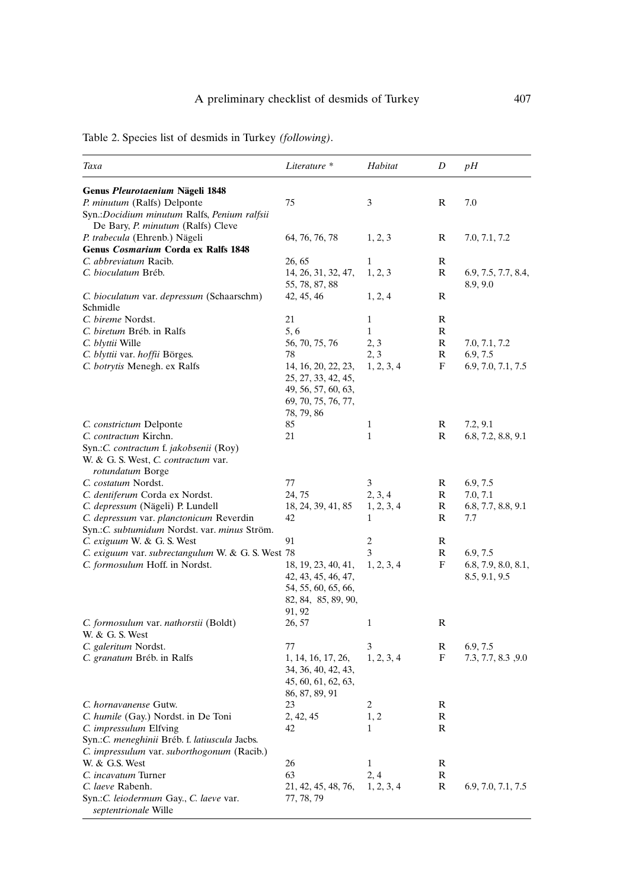| Taxa                                                                                              | Literature *                                                                                           | Habitat         | D      | pН                                   |
|---------------------------------------------------------------------------------------------------|--------------------------------------------------------------------------------------------------------|-----------------|--------|--------------------------------------|
| Genus Pleurotaenium Nägeli 1848                                                                   |                                                                                                        |                 |        |                                      |
| P. minutum (Ralfs) Delponte                                                                       | 75                                                                                                     | 3               | R      | 7.0                                  |
| Syn.:Docidium minutum Ralfs, Penium ralfsii<br>De Bary, P. minutum (Ralfs) Cleve                  |                                                                                                        |                 |        |                                      |
| P. trabecula (Ehrenb.) Nägeli                                                                     | 64, 76, 76, 78                                                                                         | 1, 2, 3         | R      | 7.0, 7.1, 7.2                        |
| Genus Cosmarium Corda ex Ralfs 1848                                                               |                                                                                                        |                 |        |                                      |
| C. abbreviatum Racib.                                                                             | 26, 65                                                                                                 | 1               | R      |                                      |
| C. bioculatum Bréb.                                                                               | 14, 26, 31, 32, 47,<br>55, 78, 87, 88                                                                  | 1, 2, 3         | R      | 6.9, 7.5, 7.7, 8.4,<br>8.9, 9.0      |
| C. bioculatum var. depressum (Schaarschm)<br>Schmidle                                             | 42, 45, 46                                                                                             | 1, 2, 4         | R      |                                      |
| C. bireme Nordst.                                                                                 | 21                                                                                                     | 1               | R      |                                      |
| C. biretum Bréb. in Ralfs                                                                         | 5, 6                                                                                                   | 1               | R      |                                      |
| C. blyttii Wille                                                                                  | 56, 70, 75, 76                                                                                         | 2, 3            | R      | 7.0, 7.1, 7.2                        |
| C. blyttii var. hoffii Börges.                                                                    | 78                                                                                                     | 2, 3            | R      | 6.9, 7.5                             |
| C. botrytis Menegh. ex Ralfs                                                                      | 14, 16, 20, 22, 23,<br>25, 27, 33, 42, 45,<br>49, 56, 57, 60, 63,<br>69, 70, 75, 76, 77,<br>78, 79, 86 | 1, 2, 3, 4      | F      | 6.9, 7.0, 7.1, 7.5                   |
| C. constrictum Delponte                                                                           | 85                                                                                                     | $\mathbf{1}$    | R      | 7.2, 9.1                             |
| C. contractum Kirchn.                                                                             | 21                                                                                                     | 1               | R      | 6.8, 7.2, 8.8, 9.1                   |
| Syn.:C. contractum f. jakobsenii (Roy)<br>W. & G. S. West, C. contractum var.<br>rotundatum Borge |                                                                                                        |                 |        |                                      |
| C. costatum Nordst.                                                                               | 77                                                                                                     | 3               | R      | 6.9, 7.5                             |
| C. dentiferum Corda ex Nordst.                                                                    | 24, 75                                                                                                 | 2, 3, 4         | R      | 7.0, 7.1                             |
| C. depressum (Nägeli) P. Lundell                                                                  | 18, 24, 39, 41, 85                                                                                     | 1, 2, 3, 4      | R      | 6.8, 7.7, 8.8, 9.1                   |
| C. depressum var. planctonicum Reverdin                                                           | 42                                                                                                     | 1               | R      | 7.7                                  |
| Syn.: C. subtumidum Nordst. var. minus Ström.                                                     |                                                                                                        |                 |        |                                      |
| C. exiguum W. & G. S. West                                                                        | 91                                                                                                     | 2               | R      |                                      |
| C. exiguum var. subrectangulum W. & G. S. West 78                                                 |                                                                                                        | 3               | R      | 6.9, 7.5                             |
| C. formosulum Hoff. in Nordst.                                                                    | 18, 19, 23, 40, 41,<br>42, 43, 45, 46, 47,<br>54, 55, 60, 65, 66,<br>82, 84, 85, 89, 90,               | 1, 2, 3, 4      | F      | 6.8, 7.9, 8.0, 8.1,<br>8.5, 9.1, 9.5 |
|                                                                                                   | 91, 92                                                                                                 |                 |        |                                      |
| C. formosulum var. nathorstii (Boldt)                                                             | 26, 57                                                                                                 | $\mathbf{1}$    | R      |                                      |
| W. & G. S. West                                                                                   |                                                                                                        |                 |        |                                      |
| C. galeritum Nordst.<br>C. granatum Bréb. in Ralfs                                                | 77<br>1, 14, 16, 17, 26,<br>34, 36, 40, 42, 43,<br>45, 60, 61, 62, 63,<br>86, 87, 89, 91               | 3<br>1, 2, 3, 4 | R<br>F | 6.9, 7.5<br>7.3, 7.7, 8.3, 9.0       |
| C. hornavanense Gutw.                                                                             | 23                                                                                                     | 2               | R      |                                      |
| C. humile (Gay.) Nordst. in De Toni                                                               | 2, 42, 45                                                                                              | 1, 2            | ĸ      |                                      |
| C. impressulum Elfving                                                                            | 42                                                                                                     | 1               | R      |                                      |
| Syn.: C. meneghinii Bréb. f. latiuscula Jacbs.                                                    |                                                                                                        |                 |        |                                      |
| C. impressulum var. suborthogonum (Racib.)                                                        |                                                                                                        |                 |        |                                      |
| W. & G.S. West                                                                                    | 26                                                                                                     | $\mathbf{1}$    | R      |                                      |
| C. incavatum Turner                                                                               | 63                                                                                                     | 2, 4            | R      |                                      |
| C. laeve Rabenh.                                                                                  | 21, 42, 45, 48, 76,                                                                                    | 1, 2, 3, 4      | R      | 6.9, 7.0, 7.1, 7.5                   |
| Syn.:C. leiodermum Gay., C. laeve var.<br>septentrionale Wille                                    | 77, 78, 79                                                                                             |                 |        |                                      |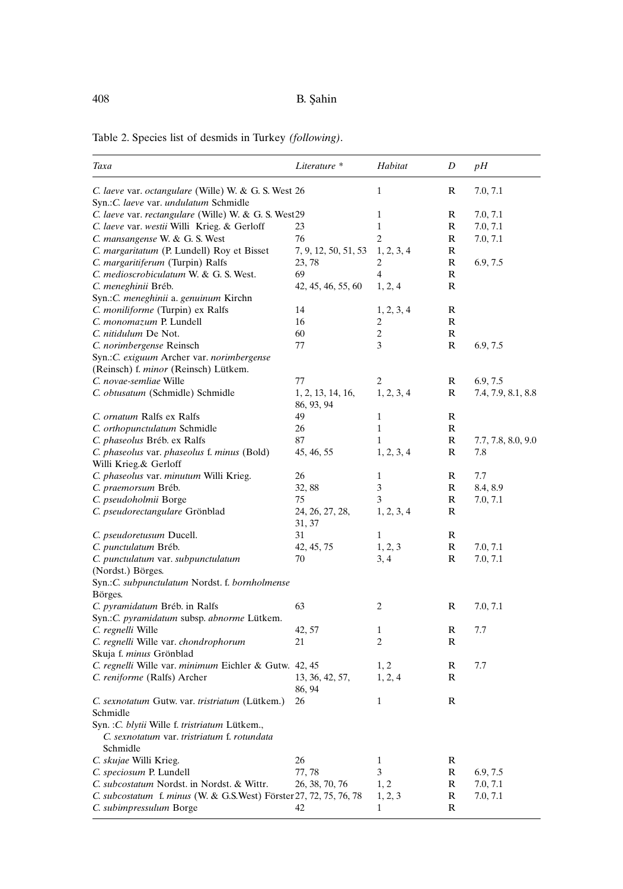| Table 2. Species list of desmids in Turkey <i>(following)</i> . |
|-----------------------------------------------------------------|
|-----------------------------------------------------------------|

| Taxa                                                                                                      | Literature *                    | Habitat        | D                | pН                 |
|-----------------------------------------------------------------------------------------------------------|---------------------------------|----------------|------------------|--------------------|
| C. laeve var. octangulare (Wille) W. & G. S. West 26<br>Syn.: C. laeve var. undulatum Schmidle            |                                 | 1              | R                | 7.0, 7.1           |
| C. laeve var. rectangulare (Wille) W. & G. S. West29                                                      |                                 | $\mathbf{1}$   | R                | 7.0, 7.1           |
| C. laeve var. westii Willi Krieg. & Gerloff                                                               | 23                              | $\mathbf{1}$   | R                | 7.0, 7.1           |
| C. mansangense W. & G. S. West                                                                            | 76                              | $\overline{c}$ | R                | 7.0, 7.1           |
| C. margaritatum (P. Lundell) Roy et Bisset                                                                | 7, 9, 12, 50, 51, 53            | 1, 2, 3, 4     | R                |                    |
| C. margaritiferum (Turpin) Ralfs                                                                          | 23, 78                          | 2              | R                | 6.9, 7.5           |
| C. medioscrobiculatum W. & G. S. West.                                                                    | 69                              | 4              | R                |                    |
| C. meneghinii Bréb.                                                                                       | 42, 45, 46, 55, 60              | 1, 2, 4        | R                |                    |
| Syn.: C. meneghinii a. genuinum Kirchn                                                                    |                                 |                |                  |                    |
| C. moniliforme (Turpin) ex Ralfs                                                                          | 14                              | 1, 2, 3, 4     | R                |                    |
| C. monomazum P. Lundell                                                                                   | 16                              | $\overline{c}$ | R                |                    |
| C. nitidulum De Not.                                                                                      | 60                              | 2              | R                |                    |
| C. norimbergense Reinsch                                                                                  | 77                              | 3              | R                | 6.9, 7.5           |
| Syn.: C. exiguum Archer var. norimbergense<br>(Reinsch) f. minor (Reinsch) Lütkem.                        |                                 |                |                  |                    |
| C. novae-semliae Wille                                                                                    | 77                              | 2              | R                | 6.9, 7.5           |
| C. obtusatum (Schmidle) Schmidle                                                                          | 1, 2, 13, 14, 16,<br>86, 93, 94 | 1, 2, 3, 4     | R                | 7.4, 7.9, 8.1, 8.8 |
| C. ornatum Ralfs ex Ralfs                                                                                 | 49                              | 1              | R                |                    |
| C. orthopunctulatum Schmidle                                                                              | 26                              | $\mathbf{1}$   | R                |                    |
| C. phaseolus Bréb. ex Ralfs                                                                               | 87                              | $\mathbf{1}$   | R                | 7.7, 7.8, 8.0, 9.0 |
| C. phaseolus var. phaseolus f. minus (Bold)<br>Willi Krieg.& Gerloff                                      | 45, 46, 55                      | 1, 2, 3, 4     | R                | 7.8                |
| C. phaseolus var. minutum Willi Krieg.                                                                    | 26                              | 1              | R                | 7.7                |
| C. praemorsum Bréb.                                                                                       | 32,88                           | 3              | R                | 8.4, 8.9           |
| C. pseudoholmii Borge                                                                                     | 75                              | 3              | R                | 7.0, 7.1           |
| C. pseudorectangulare Grönblad                                                                            | 24, 26, 27, 28,<br>31, 37       | 1, 2, 3, 4     | R                |                    |
| C. pseudoretusum Ducell.                                                                                  | 31                              | $\mathbf{1}$   | R                |                    |
| C. punctulatum Bréb.                                                                                      | 42, 45, 75                      | 1, 2, 3        | R                | 7.0, 7.1           |
| C. punctulatum var. subpunctulatum<br>(Nordst.) Börges.                                                   | 70                              | 3, 4           | R                | 7.0, 7.1           |
| Syn.:C. subpunctulatum Nordst. f. bornholmense<br>Börges.                                                 |                                 |                |                  |                    |
| C. pyramidatum Bréb. in Ralfs<br>Syn.: C. pyramidatum subsp. abnorme Lütkem.                              | 63                              | 2              | R                | 7.0, 7.1           |
| C. regnelli Wille                                                                                         | 42, 57                          | 1              | R                | 7.7                |
| C. regnelli Wille var. chondrophorum                                                                      | 21                              | 2              | R                |                    |
| Skuja f. minus Grönblad                                                                                   |                                 |                |                  |                    |
| C. regnelli Wille var. minimum Eichler & Gutw. 42, 45                                                     |                                 | 1, 2           | R                | 7.7                |
| C. reniforme (Ralfs) Archer                                                                               | 13, 36, 42, 57,<br>86, 94       | 1, 2, 4        | R                |                    |
| C. sexnotatum Gutw. var. tristriatum (Lütkem.)<br>Schmidle                                                | 26                              | $\mathbf{1}$   | R                |                    |
| Syn. : C. blytii Wille f. tristriatum Lütkem.,<br>C. sexnotatum var. tristriatum f. rotundata<br>Schmidle |                                 |                |                  |                    |
| C. skujae Willi Krieg.                                                                                    | 26                              | $\mathbf{1}$   | R                |                    |
| C. speciosum P. Lundell                                                                                   | 77, 78                          | 3              | R                | 6.9, 7.5           |
| C. subcostatum Nordst. in Nordst. & Wittr.                                                                | 26, 38, 70, 76                  | 1, 2           | R                | 7.0, 7.1           |
| C. subcostatum f. minus (W. & G.S.West) Förster 27, 72, 75, 76, 78<br>C. subimpressulum Borge             | 42                              | 1, 2, 3<br>1   | $\mathbb R$<br>R | 7.0, 7.1           |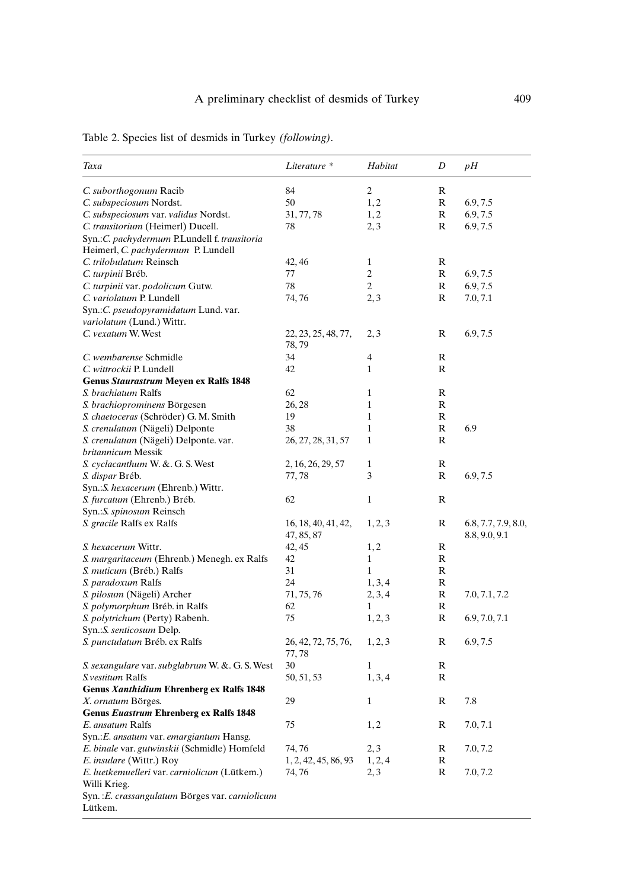| Taxa                                            | Literature *         | Habitat        | D           | pН                  |
|-------------------------------------------------|----------------------|----------------|-------------|---------------------|
| C. suborthogonum Racib                          | 84                   | $\overline{c}$ | R           |                     |
| C. subspeciosum Nordst.                         | 50                   | 1, 2           | $\mathbb R$ | 6.9, 7.5            |
| C. subspeciosum var. validus Nordst.            | 31, 77, 78           | 1, 2           | R           | 6.9, 7.5            |
| C. transitorium (Heimerl) Ducell.               | 78                   | 2, 3           | R           | 6.9, 7.5            |
| Syn.: C. pachydermum P.Lundell f. transitoria   |                      |                |             |                     |
| Heimerl, C. pachydermum P. Lundell              |                      |                |             |                     |
| C. trilobulatum Reinsch                         | 42, 46               | $\mathbf{1}$   | R           |                     |
| C. turpinii Bréb.                               | 77                   | $\overline{c}$ | R           | 6.9, 7.5            |
| C. turpinii var. podolicum Gutw.                | 78                   | $\overline{c}$ | R           | 6.9, 7.5            |
| C. variolatum P. Lundell                        | 74, 76               | 2, 3           | R           | 7.0, 7.1            |
| Syn.: C. pseudopyramidatum Lund. var.           |                      |                |             |                     |
| variolatum (Lund.) Wittr.                       |                      |                |             |                     |
| C. vexatum W. West                              | 22, 23, 25, 48, 77,  | 2, 3           | R           | 6.9, 7.5            |
|                                                 | 78,79                |                |             |                     |
| C. wembarense Schmidle                          | 34                   | 4              | R           |                     |
| C. wittrockii P. Lundell                        | 42                   | $\mathbf{1}$   | R           |                     |
| <b>Genus Staurastrum Meyen ex Ralfs 1848</b>    |                      |                |             |                     |
| S. brachiatum Ralfs                             | 62                   | $\mathbf{1}$   | R           |                     |
| S. brachioprominens Börgesen                    | 26, 28               | $\mathbf{1}$   | R           |                     |
| S. chaetoceras (Schröder) G. M. Smith           | 19                   | 1              | R           |                     |
| S. crenulatum (Nägeli) Delponte                 | 38                   | $\mathbf{1}$   | R           | 6.9                 |
| S. crenulatum (Nägeli) Delponte. var.           | 26, 27, 28, 31, 57   | $\mathbf{1}$   | R           |                     |
| britannicum Messik                              |                      |                |             |                     |
| S. cyclacanthum W. &. G. S. West                | 2, 16, 26, 29, 57    | $\mathbf{1}$   | R           |                     |
| S. dispar Bréb.                                 | 77,78                | 3              | R           | 6.9, 7.5            |
| Syn.: S. hexacerum (Ehrenb.) Wittr.             |                      |                |             |                     |
| S. furcatum (Ehrenb.) Bréb.                     | 62                   | $\mathbf{1}$   | R           |                     |
| Syn.: S. spinosum Reinsch                       |                      |                |             |                     |
| <i>S. gracile</i> Ralfs ex Ralfs                | 16, 18, 40, 41, 42,  | 1, 2, 3        | R           | 6.8, 7.7, 7.9, 8.0, |
|                                                 | 47, 85, 87           |                |             | 8.8, 9.0, 9.1       |
| S. hexacerum Wittr.                             | 42, 45               | 1, 2           | R           |                     |
| S. margaritaceum (Ehrenb.) Menegh. ex Ralfs     | 42                   | $\mathbf{1}$   | R           |                     |
| S. muticum (Bréb.) Ralfs                        | 31                   | $\mathbf{1}$   | R           |                     |
| S. paradoxum Ralfs                              | 24                   |                | R           |                     |
|                                                 |                      | 1, 3, 4        | R           |                     |
| S. pilosum (Nägeli) Archer                      | 71, 75, 76           | 2, 3, 4        |             | 7.0, 7.1, 7.2       |
| S. polymorphum Bréb. in Ralfs                   | 62                   | 1              | R           |                     |
| S. polytrichum (Perty) Rabenh.                  | 75                   | 1, 2, 3        | R           | 6.9, 7.0, 7.1       |
| Syn.: S. senticosum Delp.                       |                      |                |             |                     |
| S. punctulatum Bréb. ex Ralfs                   | 26, 42, 72, 75, 76,  | 1, 2, 3        | R           | 6.9, 7.5            |
|                                                 | 77,78                |                |             |                     |
| S. sexangulare var. subglabrum W. &. G. S. West | 30                   | $\mathbf{1}$   | R           |                     |
| S. vestitum Ralfs                               | 50, 51, 53           | 1, 3, 4        | R           |                     |
| Genus Xanthidium Ehrenberg ex Ralfs 1848        |                      |                |             |                     |
| X. ornatum Börges.                              | 29                   | $\mathbf{1}$   | R           | 7.8                 |
| <b>Genus Euastrum Ehrenberg ex Ralfs 1848</b>   |                      |                |             |                     |
| E. ansatum Ralfs                                | 75                   | 1, 2           | R           | 7.0, 7.1            |
| Syn.: E. ansatum var. emargiantum Hansg.        |                      |                |             |                     |
| E. binale var. gutwinskii (Schmidle) Homfeld    | 74, 76               | 2, 3           | R           | 7.0, 7.2            |
| E. insulare (Wittr.) Roy                        | 1, 2, 42, 45, 86, 93 | 1, 2, 4        | R           |                     |
| E. luetkemuelleri var. carniolicum (Lütkem.)    | 74, 76               | 2, 3           | R           | 7.0, 7.2            |
| Willi Krieg.                                    |                      |                |             |                     |
| Syn.: E. crassangulatum Börges var. carniolicum |                      |                |             |                     |
| Lütkem.                                         |                      |                |             |                     |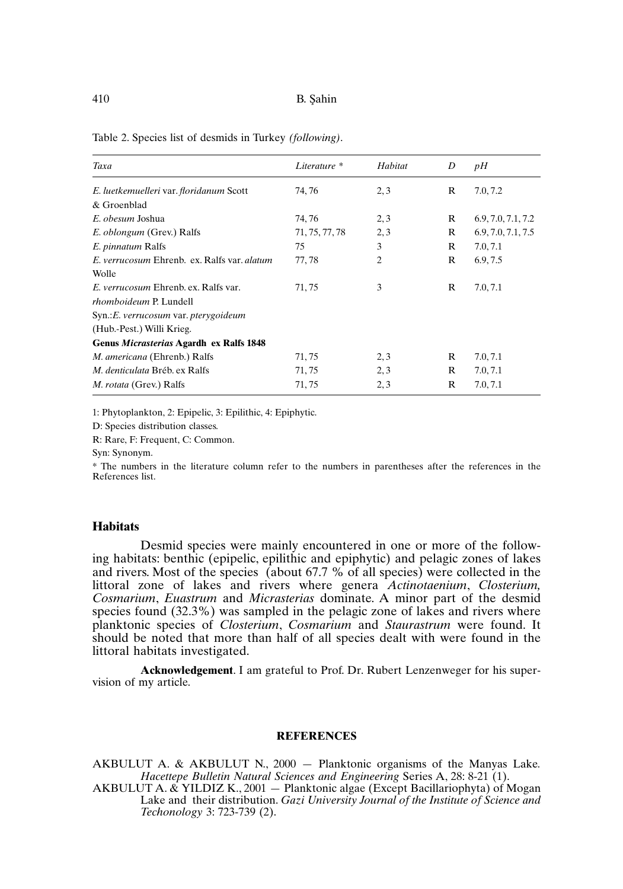| Taxa                                        | Literature *   | Habitat        | D            | pH                 |
|---------------------------------------------|----------------|----------------|--------------|--------------------|
| E. luetkemuelleri var. floridanum Scott     | 74, 76         | 2,3            | R            | 7.0, 7.2           |
| & Groenblad                                 |                |                |              |                    |
| E. obesum Joshua                            | 74, 76         | 2,3            | R            | 6.9, 7.0, 7.1, 7.2 |
| E. oblongum (Grev.) Ralfs                   | 71, 75, 77, 78 | 2, 3           | $\mathbb{R}$ | 6.9, 7.0, 7.1, 7.5 |
| E. pinnatum Ralfs                           | 75             | 3              | R            | 7.0, 7.1           |
| E. verrucosum Ehrenb. ex. Ralfs var. alatum | 77,78          | $\overline{c}$ | R            | 6.9, 7.5           |
| Wolle                                       |                |                |              |                    |
| E. verrucosum Ehrenb. ex. Ralfs var.        | 71, 75         | 3              | R            | 7.0, 7.1           |
| <i>rhomboideum P. Lundell</i>               |                |                |              |                    |
| Syn.: E. verrucosum var. pterygoideum       |                |                |              |                    |
| (Hub.-Pest.) Willi Krieg.                   |                |                |              |                    |
| Genus Micrasterias Agardh ex Ralfs 1848     |                |                |              |                    |
| M. americana (Ehrenb.) Ralfs                | 71,75          | 2,3            | R            | 7.0, 7.1           |
| <i>M. denticulata</i> Bréb. ex Ralfs        | 71,75          | 2,3            | R            | 7.0, 7.1           |
| M. rotata (Grev.) Ralfs                     | 71, 75         | 2,3            | R            | 7.0, 7.1           |

1: Phytoplankton, 2: Epipelic, 3: Epilithic, 4: Epiphytic.

D: Species distribution classes.

R: Rare, F: Frequent, C: Common.

Syn: Synonym.

\* The numbers in the literature column refer to the numbers in parentheses after the references in the References list.

#### **Habitats**

Desmid species were mainly encountered in one or more of the following habitats: benthic (epipelic, epilithic and epiphytic) and pelagic zones of lakes and rivers. Most of the species (about 67.7 % of all species) were collected in the littoral zone of lakes and rivers where genera *Actinotaenium*, *Closterium*, *Cosmarium*, *Euastrum* and *Micrasterias* dominate. A minor part of the desmid species found (32.3%) was sampled in the pelagic zone of lakes and rivers where planktonic species of *Closterium*, *Cosmarium* and *Staurastrum* were found. It should be noted that more than half of all species dealt with were found in the littoral habitats investigated.

**Acknowledgement**. I am grateful to Prof. Dr. Rubert Lenzenweger for his supervision of my article.

### **REFERENCES**

AKBULUT A. & AKBULUT N., 2000 — Planktonic organisms of the Manyas Lake*. Hacettepe Bulletin Natural Sciences and Engineering* Series A, 28: 8-21 (1).

AKBULUT A. & YILDIZ K., 2001 — Planktonic algae (Except Bacillariophyta) of Mogan Lake and their distribution. *Gazi University Journal of the Institute of Science and Techonology* 3: 723-739 (2).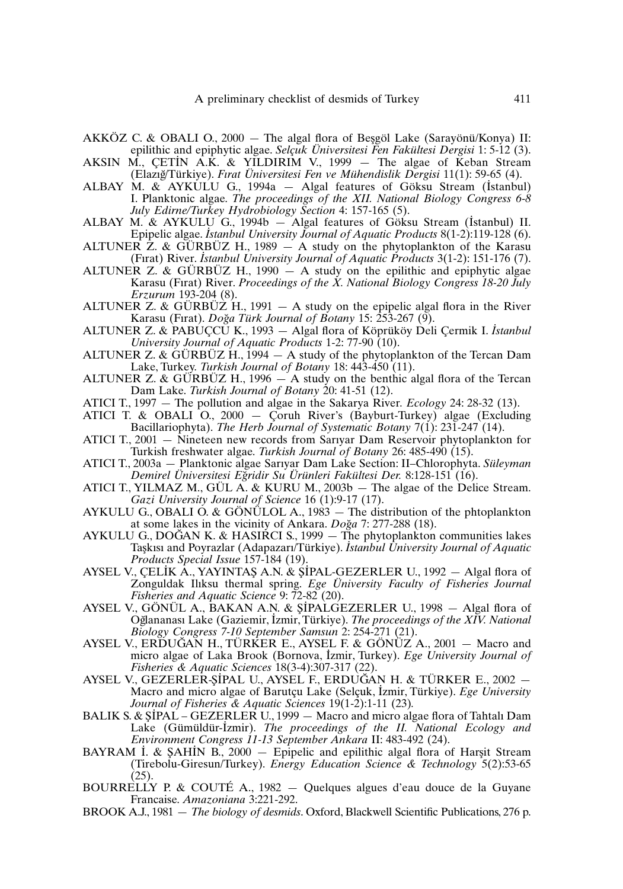- AKKÖZ C. & OBALI O., 2000 The algal flora of Beşgöl Lake (Sarayönü/Konya) II: epilithic and epiphytic algae. *Selçuk Üniversitesi Fen Fakültesi Dergisi* 1: 5-12 (3). .
- AKSIN M., ÇETI N A.K. & YILDIRIM V., 1999 The algae of Keban Stream (Elazıg˘/Türkiye). *Fırat Üniversitesi Fen ve Mühendislik Dergisi* 11(1): 59-65 (4). .
- ALBAY M. & AYKULU G., 1994a Algal features of Göksu Stream (I stanbul) I. Planktonic algae. *The proceedings of the XII. National Biology Congress 6-8 July Edirne/Turkey Hydrobiology Section* 4: 157-165 (5). .
- ALBAY M. & AYKULU G., 1994b Algal features of Göksu Stream (Istanbul) II. Epipelic algae. *I stanbul University Journal of Aquatic Products* 8(1-2):119-128 (6).
- ALTUNER Z. & GÜRBÜZ H., 1989 A study on the phytoplankton of the Karasu (Fırat) River. *I stanbul University Journal of Aquatic Products* 3(1-2): 151-176 (7).
- ALTUNER Z. & GÜRBÜZ H., 1990  $-$  A study on the epilithic and epiphytic algae Karasu (Fırat) River. *Proceedings of the X. National Biology Congress 18-20 July Erzurum* 193-204 (8).
- ALTUNER Z. & GÜRBÜZ H., 1991  $-$  A study on the epipelic algal flora in the River Karasu (Firat). *Doğa Türk Journal of Botany* 15: 253-267 (9).
- ALTUNER Z. & PABUÇCU K., 1993 Algal flora of Köprüköy Deli Çermik I. *I . stanbul University Journal of Aquatic Products* 1-2: 77-90 (10).
- ALTUNER Z. & GÜRBÜZ H., 1994  $-$  A study of the phytoplankton of the Tercan Dam Lake, Turkey. *Turkish Journal of Botany* 18: 443-450 (11).
- ALTUNER Z. & GÜRBÜZ H., 1996 A study on the benthic algal flora of the Tercan Dam Lake. *Turkish Journal of Botany* 20: 41-51 (12).
- ATICI T., 1997 The pollution and algae in the Sakarya River*. Ecology* 24: 28-32 (13).
- ATICI T. & OBALI O., 2000 Çoruh River's (Bayburt-Turkey) algae (Excluding Bacillariophyta). *The Herb Journal of Systematic Botany* 7(1): 231-247 (14).
- ATICI T., 2001 Nineteen new records from Sarıyar Dam Reservoir phytoplankton for Turkish freshwater algae. *Turkish Journal of Botany* 26: 485-490 (15).
- ATICI T., 2003a Planktonic algae Sarıyar Dam Lake Section: II–Chlorophyta. *Süleyman Demirel Üniversitesi Eg*˘*ridir Su Ürünleri Fakültesi Der.* 8:128-151 (16).
- ATICI T., YILMAZ M., GÜL A. & KURU M.,  $2003b$  The algae of the Delice Stream. *Gazi University Journal of Science* 16 (1):9-17 (17).
- AYKULU G., OBALI O. & GÖNÜLOL A., 1983 The distribution of the phtoplankton at some lakes in the vicinity of Ankara. *Doğa* 7: 277-288 (18).
- AYKULU G., DOĞAN K. & HASIRCI S., 1999 The phytoplankton communities lakes Tas¸kısı and Poyrazlar (Adapazarı/Türkiye). *I stanbul University Journal of Aquatic Products Special Issue* 157-184 (19). . .
- AYSEL V., ÇELİK A., YAYINTAŞ A.N. & ŞİPAL-GEZERLER U., 1992 Algal flora of Zonguldak Ilıksu thermal spring. *Ege Üniversity Faculty of Fisheries Journal Fisheries and Aquatic Science* 9: 72-82 (20). .
- AYSEL V., GÖNÜL A., BAKAN A.N. & ŞİPALGEZERLER U., 1998 Algal flora of Og˘lananası Lake (Gaziemir, I zmir, Türkiye). *The proceedings of the XIV. National Biology Congress 7-10 September Samsun* 2: 254-271 (21).
- AYSEL V., ERDUĞAN H., TÜRKER E., AYSEL F. & GÖNÜZ A., 2001 Macro and micro algae of Laka Brook (Bornova, I zmir, Turkey). *Ege University Journal of Fisheries & Aquatic Sciences* 18(3-4):307-317 (22). .
- AYSEL V., GEZERLER-ŞİPAL U., AYSEL F., ERDUĞAN H. & TÜRKER E., 2002 Macro and micro algae of Barutçu Lake (Selçuk, I zmir, Türkiye). *Ege University Journal of Fisheries & Aquatic Sciences* 19(1-2):1-11 (23)*.* .
- BALIK S. & ŞİPAL GEZERLER U., 1999 Macro and micro algae flora of Tahtalı Dam Lake (Gümüldür-I zmir). *The proceedings of the II. National Ecology and Environment Congress 11-13 September Ankara* II: 483-492 (24). . .
- BAYRAM I. & ŞAHIN B., 2000 Epipelic and epilithic algal flora of Harşit Stream (Tirebolu-Giresun/Turkey). *Energy Education Science & Technology* 5(2):53-65 (25).
- BOURRELLY P. & COUTÉ A., 1982 Quelques algues d'eau douce de la Guyane Francaise. *Amazoniana* 3:221-292.
- BROOK A.J., 1981 *The biology of desmids*. Oxford, Blackwell Scientific Publications, 276 p.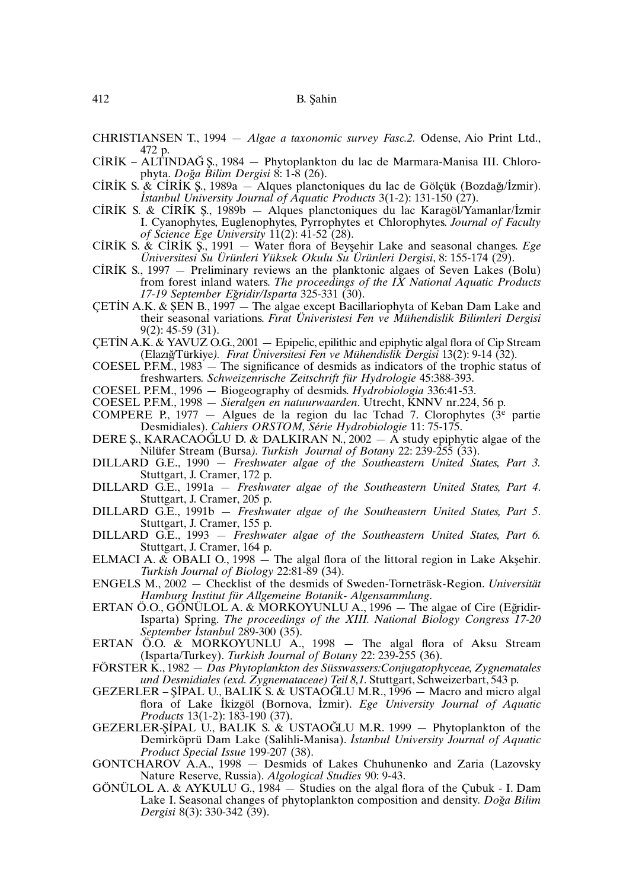- CHRISTIANSEN T., 1994 *Algae a taxonomic survey Fasc.2.* Odense, Aio Print Ltd., 472 p.
- CI . RI . K ALTINDAG˘ S¸ ., 1984 Phytoplankton du lac de Marmara-Manisa III. Chlorophyta. *Doğa Bilim Dergisi* 8: 1-8 (26).
- phyta. *Doga Bilim Dergisi* 8: 1-8 (26).<br>CIRIK S. & CIRIK S., 1989a Alques planctoniques du lac de Gölçük (Bozdağı/İzmir). *I stanbul University Journal of Aquatic Products* 3(1-2): 131-150 (27). . .
- Istanbul University Journal of Aquatic Products 3(1-2): 131-150 (27).<br>CIRIK S. & CIRIK Ş., 1989b Alques planctoniques du lac Karagöl/Yamanlar/İzmir I. Cyanophytes, Euglenophytes, Pyrrophytes et Chlorophytes. *Journal of Faculty of Science Ege University* 11(2): 41-52 (28). . .
- of *science Ege University* 11(2): 41-52 (28).<br>CIRIK S. & CIRIK Ş., 1991 Water flora of Beyşehir Lake and seasonal changes. *Ege Üniversitesi Su Ürünleri Yüksek Okulu Su Ürünleri Dergisi*, 8: 155-174 (29).
- CIRIK S., 1997 Preliminary reviews an the planktonic algaes of Seven Lakes (Bolu) from forest inland waters. *The proceedings of the IX National Aquatic Products 17-19 September Eg*˘*ridir/Isparta* 325-331 (30).
- 17-19 September Egriati/Isparia 325-331 (30).<br>CETIN A.K. & ŞEN B., 1997 The algae except Bacillariophyta of Keban Dam Lake and their seasonal variations. *Fırat Üniveristesi Fen ve Mühendislik Bilimleri Dergisi* 9(2): 45-59 (31).
- ÇETI . N A.K. & YAVUZ O.G., 2001 Epipelic, epilithic and epiphytic algal flora of Cip Stream (Elazıg˘/Türkiye*). Fırat Üniversitesi Fen ve Mühendislik Dergisi* 13(2): 9-14 (32).
- COESEL P.F.M.,  $1983 -$  The significance of desmids as indicators of the trophic status of freshwarters*. Schweizenrische Zeitschrift für Hydrologie* 45:388-393.
- COESEL P.F.M., 1996 Biogeography of desmids. *Hydrobiologia* 336:41-53.
- COESEL P.F.M., 1998 *Sieralgen en natuurwaarden*. Utrecht, KNNV nr.224, 56 p.
- COMPERE P., 1977 Algues de la region du lac Tchad 7. Clorophytes  $(3^e)$  partie Desmidiales). *Cahiers ORSTOM, Série Hydrobiologie* 11: 75-175.
- DERE S., KARACAÓGLU D. & DALKIRAN N., 2002  $-$  A study epiphytic algae of the Nilüfer Stream (Bursa*). Turkish Journal of Botany* 22: 239-255 (33).
- DILLARD G.E., 1990 *Freshwater algae of the Southeastern United States, Part 3.* Stuttgart, J. Cramer, 172 p.
- DILLARD G.E., 1991a *Freshwater algae of the Southeastern United States, Part 4*. Stuttgart, J. Cramer, 205 p.
- DILLARD G.E., 1991b *Freshwater algae of the Southeastern United States, Part 5*. Stuttgart, J. Cramer, 155 p.
- DILLARD G.E., 1993 *Freshwater algae of the Southeastern United States, Part 6.* Stuttgart, J. Cramer, 164 p.
- ELMACI A.  $\&$  OBALI O., 1998  $\stackrel{\frown}{\phantom{}^-}$  The algal flora of the littoral region in Lake Aksehir. *Turkish Journal of Biology* 22:81-89 (34).
- ENGELS M., 2002 Checklist of the desmids of Sweden-Torneträsk-Region. *Universität Hamburg Institut für Allgemeine Botanik- Algensammlung*.
- ERTAN Ö.O., GÖNÜLOL A. & MORKOYUNLU A., 1996  $-$  The algae of Cire (Egridir-Isparta) Spring. *The proceedings of the XIII. National Biology Congress 17-20 . September I stanbul* 289-300 (35).
- ERTAN Ö.O. & MORKOYUNLU A., 1998 The algal flora of Aksu Stream (Isparta/Turkey). *Turkish Journal of Botany* 22: 239-255 (36).
- FÖRSTER K., 1982 *Das Phytoplankton des Süsswassers:Conjugatophyceae, Zygnematales und Desmidiales (exd. Zygnemataceae) Teil 8,1.* Stuttgart, Schweizerbart, 543 p. .
- GEZERLER ŞİPAL U., BALIK S. & USTAOĞLU M.R., 1996 Macro and micro algal flora of Lake I kizgöl (Bornova, I zmir). *Ege University Journal of Aquatic Products* 13(1-2): 183-190 (37).
- GEZERLER-SIPAL U., BALIK S. & USTAOGLU M.R. 1999 Phytoplankton of the Demirköprü Dam Lake (Salihli-Manisa). *I stanbul University Journal of Aquatic Product Special Issue* 199-207 (38).
- GONTCHAROV A.A., 1998 Desmids of Lakes Chuhunenko and Zaria (Lazovsky Nature Reserve, Russia). *Algological Studies* 90: 9-43.
- GÖNÜLOL A. & AYKULU G., 1984 Studies on the algal flora of the Çubuk I. Dam Lake I. Seasonal changes of phytoplankton composition and density. Doğa Bilim *Dergisi* 8(3): 330-342 (39).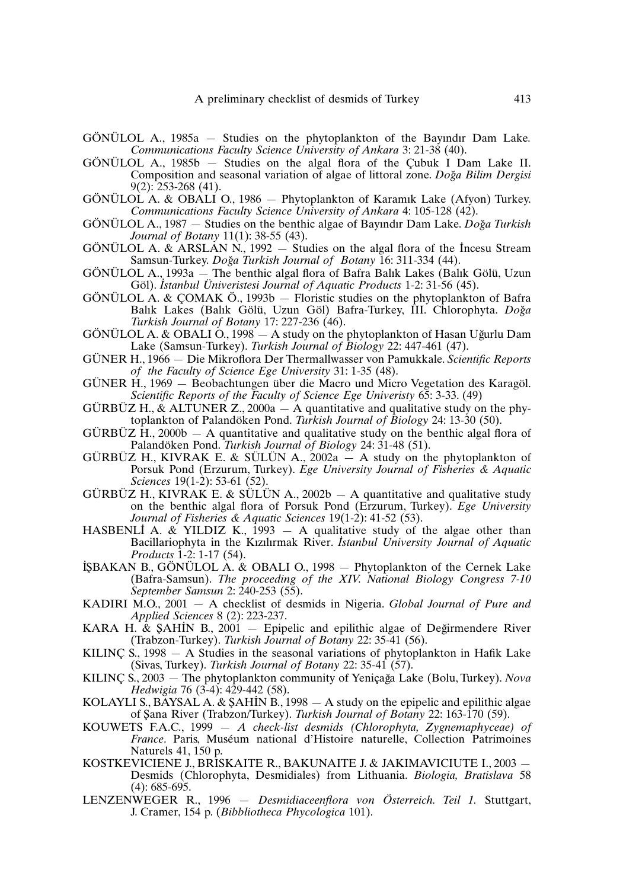- GÖNÜLOL A., 1985a Studies on the phytoplankton of the Bayındır Dam Lake*. Communications Faculty Science University of Ankara* 3: 21-38 (40).
- GÖNÜLOL A., 1985b Studies on the algal flora of the Çubuk I Dam Lake II. Composition and seasonal variation of algae of littoral zone. *Doğa Bilim Dergisi* 9(2): 253-268 (41).
- GÖNÜLOL A. & OBALI O., 1986 Phytoplankton of Karamık Lake (Afyon) Turkey. *Communications Faculty Science University of Ankara* 4: 105-128 (42).
- GÖNÜLOL A., 1987 Studies on the benthic algae of Bayındır Dam Lake. *Doğa Turkish Journal of Botany* 11(1): 38-55 (43).
- GÖNÜLOL A. & ARSLAN N., 1992 Studies on the algal flora of the Incesu Stream Samsun-Turkey. *Dog*˘*a Turkish Journal of Botany* 16: 311-334 (44).
- GÖNÜLOL A., 1993a The benthic algal flora of Bafra Balık Lakes (Balık Gölü, Uzun *.* Göl). *I stanbul Üniveristesi Journal of Aquatic Products* 1-2: 31-56 (45).
- GÖNÜLOL A. & ÇOMAK Ö., 1993b Floristic studies on the phytoplankton of Bafra Balık Lakes (Balık Gölü, Uzun Göl) Bafra-Turkey, İII. Chlorophyta. Doğa *Turkish Journal of Botany* 17: 227-236 (46).
- GÖNÜLOL A. & OBALI O., 1998  $-$  A study on the phytoplankton of Hasan Uğurlu Dam Lake (Samsun-Turkey). *Turkish Journal of Biology* 22: 447-461 (47).
- GÜNER H., 1966 Die Mikroflora Der Thermallwasser von Pamukkale. *Scientific Reports of the Faculty of Science Ege University* 31: 1-35 (48).
- GÜNER H., 1969 Beobachtungen über die Macro und Micro Vegetation des Karagöl. *Scientific Reports of the Faculty of Science Ege Univeristy* 65: 3-33. (49)
- GURBUZ H., & ALTUNER Z., 2000a  $-$  A quantitative and qualitative study on the phytoplankton of Palandöken Pond. *Turkish Journal of Biology* 24: 13-30 (50).
- $GURBÜZ H$ , 2000b  $A$  quantitative and qualitative study on the benthic algal flora of Palandöken Pond. *Turkish Journal of Biology* 24: 31-48 (51).
- GÜRBÜZ H., KIVRAK E. & SÜLÜN A., 2002a A study on the phytoplankton of Porsuk Pond (Erzurum, Turkey). *Ege University Journal of Fisheries & Aquatic Sciences* 19(1-2): 53-61 (52).
- GÜRBÜZ H., KIVRAK E. & SÜLÜN A., 2002b A quantitative and qualitative study on the benthic algal flora of Porsuk Pond (Erzurum, Turkey). *Ege University Journal of Fisheries & Aquatic Sciences* 19(1-2): 41-52 (53). .
- HASBENLI A. & YILDIZ K., 1993 A qualitative study of the algae other than *.* Bacillariophyta in the Kızılırmak River. *I stanbul University Journal of Aquatic Products* 1-2: 1-17 (54).
- Froaucis 1-2: 1-1/ (34).<br>IŞBAKAN B., GÖNÜLOL A. & OBALI O., 1998 Phytoplankton of the Cernek Lake (Bafra-Samsun). *The proceeding of the XIV. National Biology Congress 7-10 September Samsun* 2: 240-253 (55).
- KADIRI M.O., 2001 A checklist of desmids in Nigeria. *Global Journal of Pure and Applied Sciences* 8 (2): 223-237.
- Appued Sciences 8 (2): 225-251.<br>KARA H. & ŞAHİN B., 2001 Epipelic and epilithic algae of Değirmendere River (Trabzon-Turkey). *Turkish Journal of Botany* 22: 35-41 (56).
- KILINÇ S.,  $1998 A$  Studies in the seasonal variations of phytoplankton in Hafik Lake (Sivas, Turkey). *Turkish Journal of Botany* 22: 35-41 (57).
- KILINÇ S., 2003 The phytoplankton community of Yeniçağa Lake (Bolu, Turkey). *Nova Hedwigia* 76 (3-4): 429-442 (58). .
- KOLAYLI S., BAYSAL A. & ŞAHİN B., 1998 A study on the epipelic and epilithic algae of Şana River (Trabzon/Turkey). *Turkish Journal of Botany* 22: 163-170 (59).
- KOUWETS F.A.C., 1999 *A check-list desmids (Chlorophyta, Zygnemaphyceae) of France*. Paris, Muséum national d'Histoire naturelle, Collection Patrimoines Naturels 41, 150 p.
- KOSTKEVICIENE J., BRISKAITE R., BAKUNAITE J. & JAKIMAVICIUTE I., 2003 Desmids (Chlorophyta, Desmidiales) from Lithuania. *Biologia, Bratislava* 58  $(4): 685-695.$
- LENZENWEGER R., 1996 *Desmidiaceenflora von Österreich. Teil 1.* Stuttgart, J. Cramer, 154 p. (*Bibbliotheca Phycologica* 101).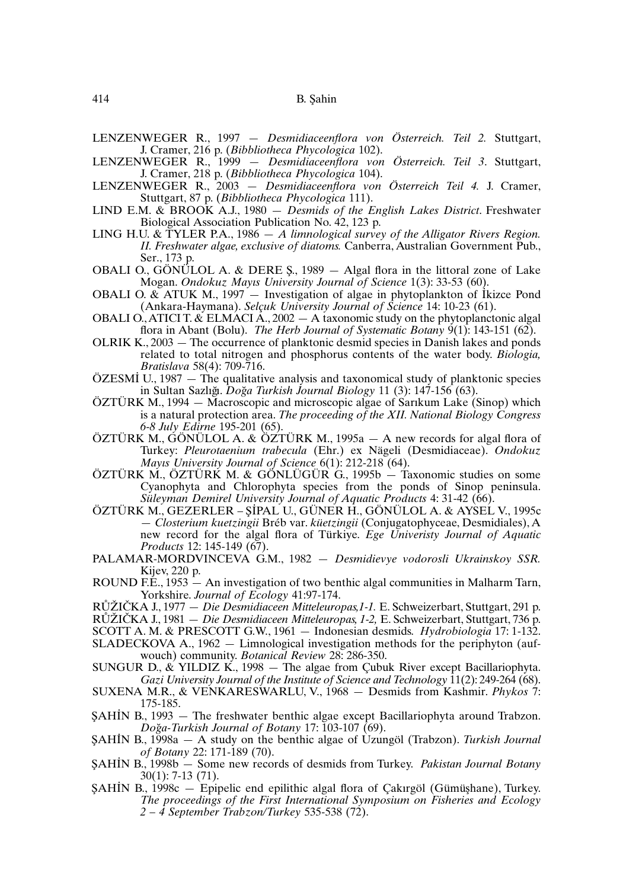LENZENWEGER R., 1997 — *Desmidiaceenflora von Österreich. Teil 2.* Stuttgart, J. Cramer, 216 p. (*Bibbliotheca Phycologica* 102).

- LENZENWEGER R., 1999 *Desmidiaceenflora von Österreich. Teil 3*. Stuttgart, J. Cramer, 218 p. (*Bibbliotheca Phycologica* 104).
- LENZENWEGER R., 2003 *Desmidiaceenflora von Österreich Teil 4.* J. Cramer, Stuttgart, 87 p. (*Bibbliotheca Phycologica* 111).
- LIND E.M. & BROOK A.J., 1980 *Desmids of the English Lakes District*. Freshwater Biological Association Publication No. 42, 123 p.
- LING H.U. & TYLER P.A., 1986 *A limnological survey of the Alligator Rivers Region. II. Freshwater algae, exclusive of diatoms.* Canberra, Australian Government Pub., Ser., 173 p.
- OBALI O., GÖNÜLOL A. & DERE  $\zeta$ , 1989 Algal flora in the littoral zone of Lake Mogan. *Ondokuz Mayıs University Journal of Science* 1(3): 33-53 (60). .
- OBALI O. & ATUK M., 1997 Investigation of algae in phytoplankton of I kizce Pond (Ankara-Haymana). *Selçuk University Journal of Science* 14: 10-23 (61).
- OBALI O., ATICI T.  $\&$  ELMACI A., 2002  $-$  A taxonomic study on the phytoplanctonic algal flora in Abant (Bolu). *The Herb Journal of Systematic Botany* 9(1): 143-151 (62).
- OLRIK K., 2003 The occurrence of planktonic desmid species in Danish lakes and ponds related to total nitrogen and phosphorus contents of the water body. *Biologia, Bratislava* 58(4): 709-716.
- Bratislava 58(4): 709-716.<br>ÖZESMİ U., 1987 The qualitative analysis and taxonomical study of planktonic species in Sultan Sazlıg˘ı. *Dog*˘*a Turkish Journal Biology* 11 (3): 147-156 (63).
- ÖZTÜRK M., 1994 Macroscopic and microscopic algae of Sarıkum Lake (Sinop) which is a natural protection area. *The proceeding of the XII. National Biology Congress 6-8 July Edirne* 195-201 (65).
- ÖZTÜRK M., GÖNÜLOL A. & ÖZTÜRK M., 1995a A new records for algal flora of Turkey: *Pleurotaenium trabecula* (Ehr.) ex Nägeli (Desmidiaceae). *Ondokuz Mayıs University Journal of Science* 6(1): 212-218 (64).
- ÖZTÜRK M., ÖZTÜRK M. & GÖNLÜGÜR G., 1995b Taxonomic studies on some Cyanophyta and Chlorophyta species from the ponds of Sinop peninsula. *Süleyman Demirel University Journal of Aquatic Products* 4: 31-42 (66). .
- ÖZTÜRK M., GEZERLER ŞİPAL U., GÜNER H., GÖNÜLOL A. & AYSEL V., 1995c — *Closterium kuetzingii* Bréb var. *küetzingii* (Conjugatophyceae, Desmidiales), A new record for the algal flora of Türkiye. *Ege Univeristy Journal of Aquatic Products* 12: 145-149 (67).
- PALAMAR-MORDVINCEVA G.M., 1982 *Desmidievye vodorosli Ukrainskoy SSR.* Kijev, 220 p.
- ROUND F.E., 1953 An investigation of two benthic algal communities in Malharm Tarn, Yorkshire. *Journal of Ecology* 41:97-174.
- RŮŽIČKA J., 1977 *Die Desmidiaceen Mitteleuropas,1-1.* E. Schweizerbart, Stuttgart, 291 p.

RŮŽIČKA J., 1981 — *Die Desmidiaceen Mitteleuropas, 1-2,* E. Schweizerbart, Stuttgart, 736 p. SCOTT A. M. & PRESCOTT G.W., 1961 — Indonesian desmids. *Hydrobiologia* 17: 1-132.

SLADECKOVA A., 1962 — Limnological investigation methods for the periphyton (auf-

wouch) community. *Botanical Review* 28: 286-350.

- SUNGUR D., & YILDIZ K., 1998 The algae from Çubuk River except Bacillariophyta. *Gazi University Journal of the Institute of Science andTechnology* 11(2): 249-264 (68).
- SUXENA M.R., & VENKARESWARLU, V., 1968 Desmids from Kashmir. *Phykos* 7: 175-185.
- 1/5-185.<br>\$AHIN B., 1993 The freshwater benthic algae except Bacillariophyta around Trabzon. *Dog*˘*a-Turkish Journal of Botany* 17: 103-107 (69).
- Doga-*Lurkish Journal of Botany 1*/: 103-10/ (69).<br>\$AHIN B., 1998a A study on the benthic algae of Uzungöl (Trabzon). *Turkish Journal of Botany* 22: 171-189 (70).
- of Botany 22: 171-189 (70).<br>SAHIN B., 1998b Some new records of desmids from Turkey. *Pakistan Journal Botany* 30(1): 7-13 (71).
- داد. (19).<br>ŞAHİN B., 1998c Epipelic end epilithic algal flora of Çakırgöl (Gümüşhane), Turkey. *The proceedings of the First International Symposium on Fisheries and Ecology 2 – 4 September Trabzon/Turkey* 535-538 (72).